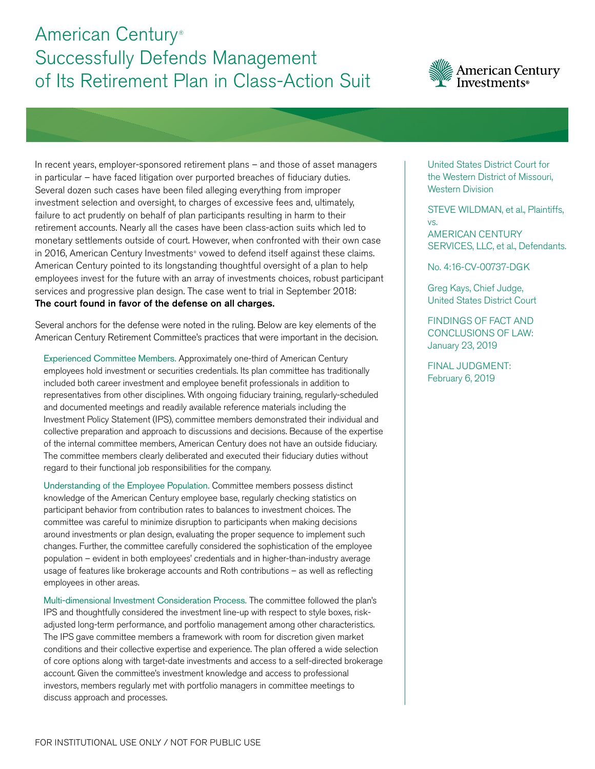## American Century® Successfully Defends Management of Its Retirement Plan in Class-Action Suit



In recent years, employer-sponsored retirement plans – and those of asset managers in particular – have faced litigation over purported breaches of fiduciary duties. Several dozen such cases have been filed alleging everything from improper investment selection and oversight, to charges of excessive fees and, ultimately, failure to act prudently on behalf of plan participants resulting in harm to their retirement accounts. Nearly all the cases have been class-action suits which led to monetary settlements outside of court. However, when confronted with their own case in 2016, American Century Investments® vowed to defend itself against these claims. American Century pointed to its longstanding thoughtful oversight of a plan to help employees invest for the future with an array of investments choices, robust participant services and progressive plan design. The case went to trial in September 2018: The court found in favor of the defense on all charges.

Several anchors for the defense were noted in the ruling. Below are key elements of the American Century Retirement Committee's practices that were important in the decision.

Experienced Committee Members. Approximately one-third of American Century employees hold investment or securities credentials. Its plan committee has traditionally included both career investment and employee benefit professionals in addition to representatives from other disciplines. With ongoing fiduciary training, regularly-scheduled and documented meetings and readily available reference materials including the Investment Policy Statement (IPS), committee members demonstrated their individual and collective preparation and approach to discussions and decisions. Because of the expertise of the internal committee members, American Century does not have an outside fiduciary. The committee members clearly deliberated and executed their fiduciary duties without regard to their functional job responsibilities for the company.

Understanding of the Employee Population. Committee members possess distinct knowledge of the American Century employee base, regularly checking statistics on participant behavior from contribution rates to balances to investment choices. The committee was careful to minimize disruption to participants when making decisions around investments or plan design, evaluating the proper sequence to implement such changes. Further, the committee carefully considered the sophistication of the employee population – evident in both employees' credentials and in higher-than-industry average usage of features like brokerage accounts and Roth contributions – as well as reflecting employees in other areas.

Multi-dimensional Investment Consideration Process. The committee followed the plan's IPS and thoughtfully considered the investment line-up with respect to style boxes, riskadjusted long-term performance, and portfolio management among other characteristics. The IPS gave committee members a framework with room for discretion given market conditions and their collective expertise and experience. The plan offered a wide selection of core options along with target-date investments and access to a self-directed brokerage account. Given the committee's investment knowledge and access to professional investors, members regularly met with portfolio managers in committee meetings to discuss approach and processes.

United States District Court for the Western District of Missouri, Western Division

STEVE WILDMAN, et al., Plaintiffs, vs.

AMERICAN CENTURY SERVICES, LLC, et al., Defendants.

No. 4:16-CV-00737-DGK

Greg Kays, Chief Judge, United States District Court

FINDINGS OF FACT AND CONCLUSIONS OF LAW: January 23, 2019

FINAL JUDGMENT: February 6, 2019